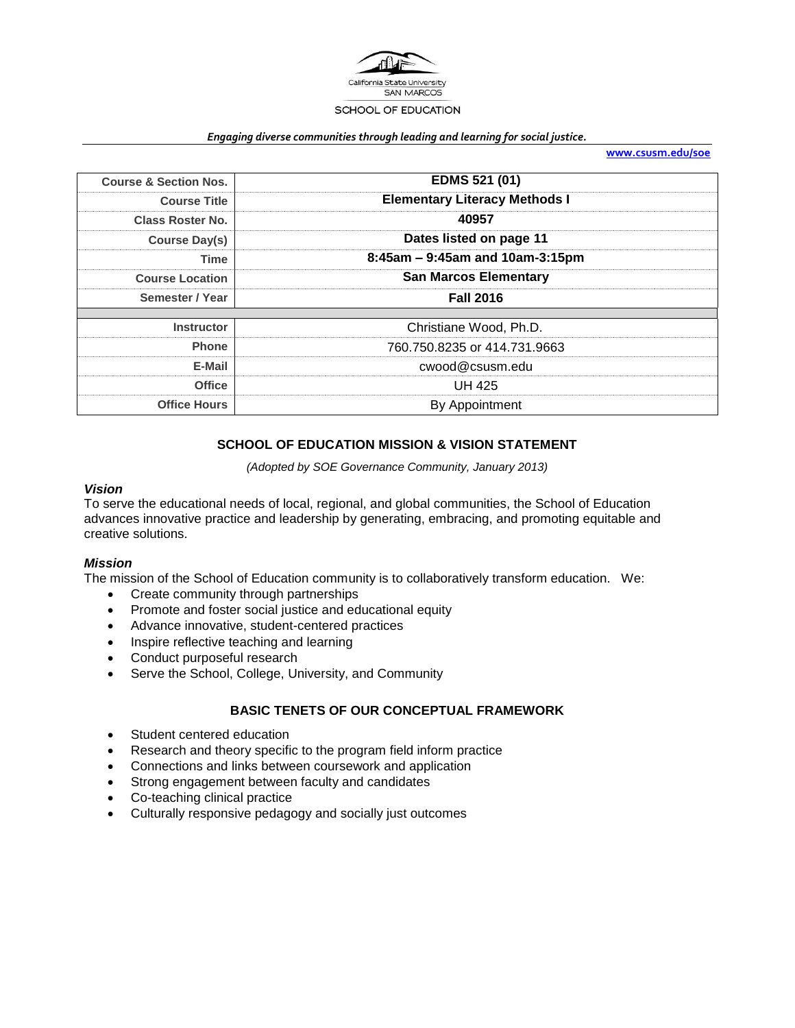

#### *Engaging diverse communities through leading and learning for social justice.*

**[www.csusm.edu/soe](http://www.csusm.edu/soe)**

| <b>Course &amp; Section Nos.</b> | EDMS 521 (01)                        |  |
|----------------------------------|--------------------------------------|--|
| <b>Course Title</b>              | <b>Elementary Literacy Methods I</b> |  |
| <b>Class Roster No.</b>          | 40957                                |  |
| <b>Course Day(s)</b>             | Dates listed on page 11              |  |
| Time                             | 8:45am - 9:45am and 10am-3:15pm      |  |
| <b>Course Location</b>           | <b>San Marcos Elementary</b>         |  |
| Semester / Year                  | <b>Fall 2016</b>                     |  |
| <b>Instructor</b>                | Christiane Wood, Ph.D.               |  |
| <b>Phone</b>                     | 760.750.8235 or 414.731.9663         |  |
| E-Mail                           | cwood@csusm.edu                      |  |
| <b>Office</b>                    | <b>UH 425</b>                        |  |
| <b>Office Hours</b>              | By Appointment                       |  |

### **SCHOOL OF EDUCATION MISSION & VISION STATEMENT**

*(Adopted by SOE Governance Community, January 2013)*

#### *Vision*

To serve the educational needs of local, regional, and global communities, the School of Education advances innovative practice and leadership by generating, embracing, and promoting equitable and creative solutions.

#### *Mission*

The mission of the School of Education community is to collaboratively transform education. We:

- Create community through partnerships
- Promote and foster social justice and educational equity
- Advance innovative, student-centered practices
- Inspire reflective teaching and learning
- Conduct purposeful research
- Serve the School, College, University, and Community

### **BASIC TENETS OF OUR CONCEPTUAL FRAMEWORK**

- Student centered education
- Research and theory specific to the program field inform practice
- Connections and links between coursework and application
- Strong engagement between faculty and candidates
- Co-teaching clinical practice
- Culturally responsive pedagogy and socially just outcomes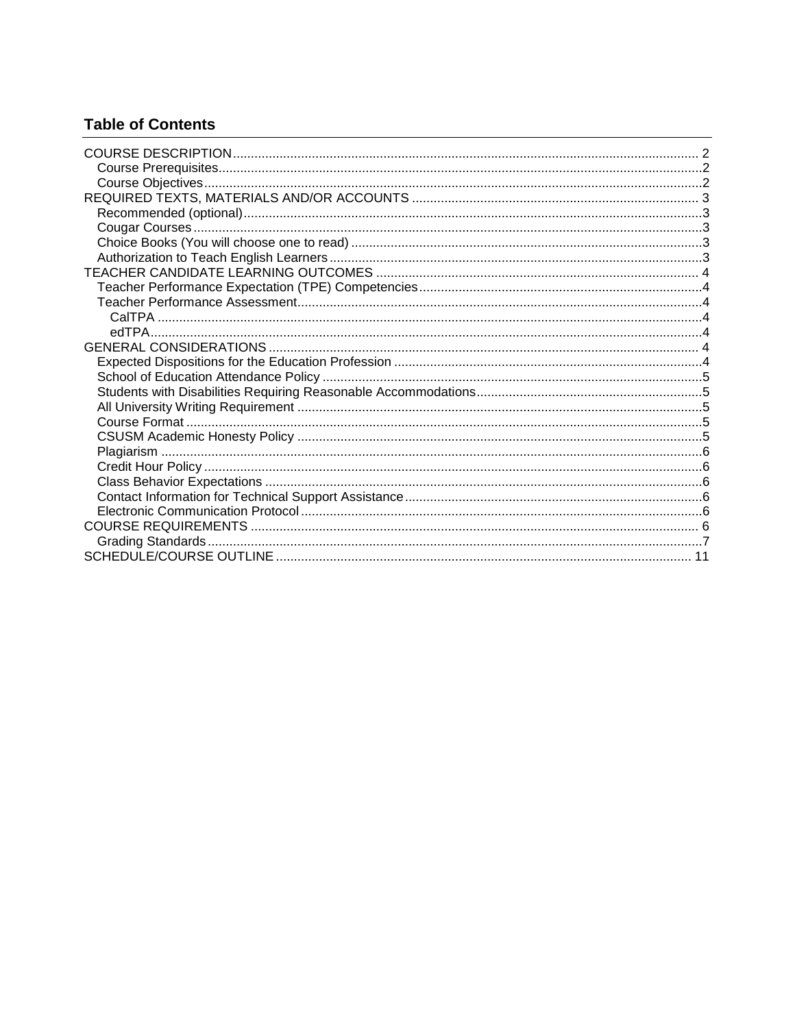# **Table of Contents**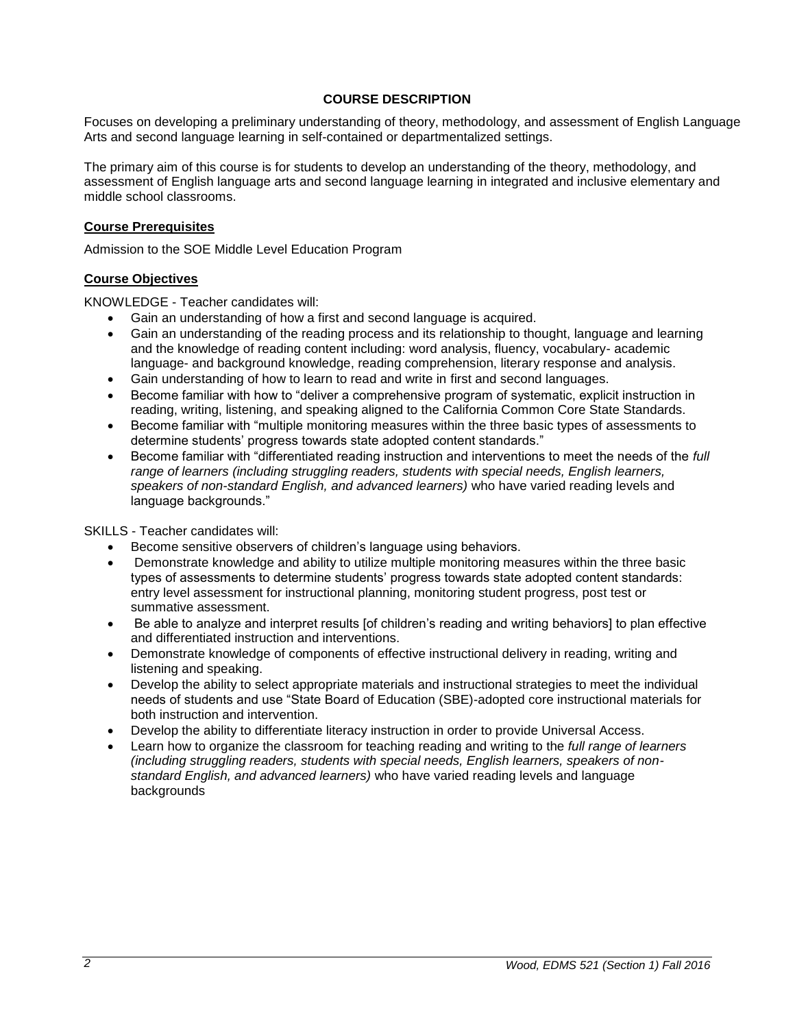### **COURSE DESCRIPTION**

<span id="page-2-0"></span>Focuses on developing a preliminary understanding of theory, methodology, and assessment of English Language Arts and second language learning in self-contained or departmentalized settings.

The primary aim of this course is for students to develop an understanding of the theory, methodology, and assessment of English language arts and second language learning in integrated and inclusive elementary and middle school classrooms.

#### <span id="page-2-1"></span>**Course Prerequisites**

Admission to the SOE Middle Level Education Program

#### <span id="page-2-2"></span>**Course Objectives**

KNOWLEDGE - Teacher candidates will:

- Gain an understanding of how a first and second language is acquired.
- Gain an understanding of the reading process and its relationship to thought, language and learning and the knowledge of reading content including: word analysis, fluency, vocabulary- academic language- and background knowledge, reading comprehension, literary response and analysis.
- Gain understanding of how to learn to read and write in first and second languages.
- Become familiar with how to "deliver a comprehensive program of systematic, explicit instruction in reading, writing, listening, and speaking aligned to the California Common Core State Standards.
- Become familiar with "multiple monitoring measures within the three basic types of assessments to determine students' progress towards state adopted content standards."
- Become familiar with "differentiated reading instruction and interventions to meet the needs of the *full range of learners (including struggling readers, students with special needs, English learners, speakers of non-standard English, and advanced learners)* who have varied reading levels and language backgrounds."

SKILLS - Teacher candidates will:

- Become sensitive observers of children's language using behaviors.
- Demonstrate knowledge and ability to utilize multiple monitoring measures within the three basic types of assessments to determine students' progress towards state adopted content standards: entry level assessment for instructional planning, monitoring student progress, post test or summative assessment.
- Be able to analyze and interpret results [of children's reading and writing behaviors] to plan effective and differentiated instruction and interventions.
- Demonstrate knowledge of components of effective instructional delivery in reading, writing and listening and speaking.
- Develop the ability to select appropriate materials and instructional strategies to meet the individual needs of students and use "State Board of Education (SBE)-adopted core instructional materials for both instruction and intervention.
- Develop the ability to differentiate literacy instruction in order to provide Universal Access.
- Learn how to organize the classroom for teaching reading and writing to the *full range of learners (including struggling readers, students with special needs, English learners, speakers of nonstandard English, and advanced learners)* who have varied reading levels and language backgrounds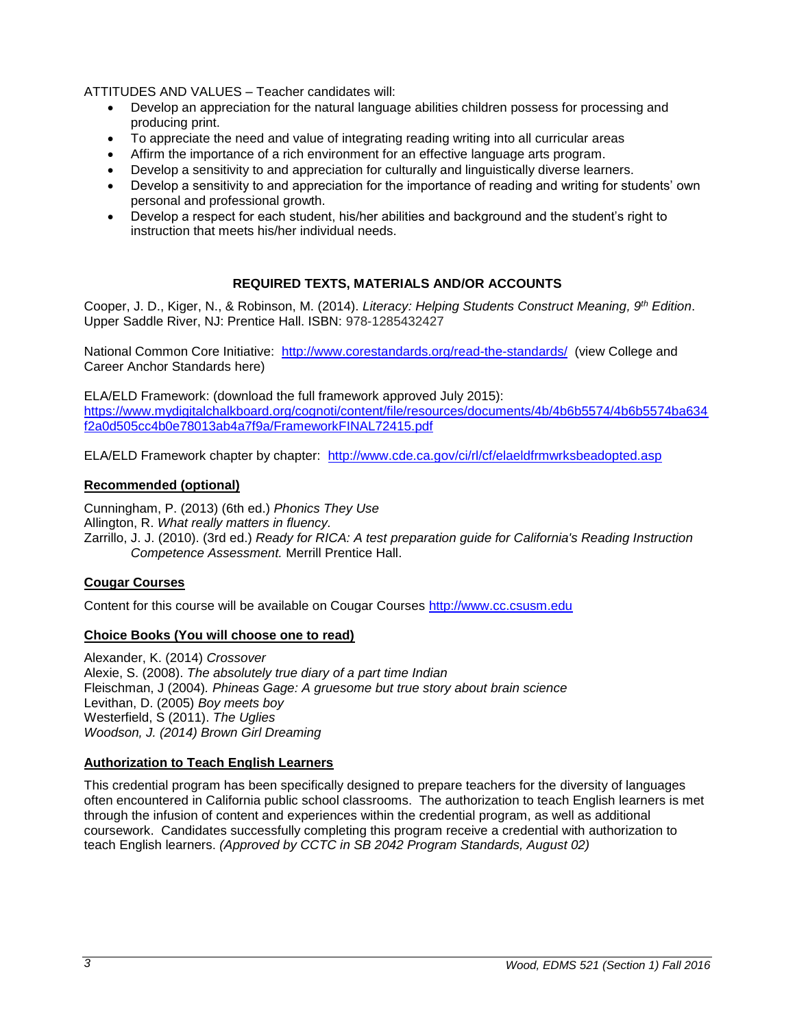ATTITUDES AND VALUES – Teacher candidates will:

- Develop an appreciation for the natural language abilities children possess for processing and producing print.
- To appreciate the need and value of integrating reading writing into all curricular areas
- Affirm the importance of a rich environment for an effective language arts program.
- Develop a sensitivity to and appreciation for culturally and linguistically diverse learners.
- Develop a sensitivity to and appreciation for the importance of reading and writing for students' own personal and professional growth.
- Develop a respect for each student, his/her abilities and background and the student's right to instruction that meets his/her individual needs.

### **REQUIRED TEXTS, MATERIALS AND/OR ACCOUNTS**

<span id="page-3-0"></span>Cooper, J. D., Kiger, N., & Robinson, M. (2014). *Literacy: Helping Students Construct Meaning, 9th Edition*. Upper Saddle River, NJ: Prentice Hall. ISBN: 978-1285432427

National Common Core Initiative: <http://www.corestandards.org/read-the-standards/>(view College and Career Anchor Standards here)

ELA/ELD Framework: (download the full framework approved July 2015): [https://www.mydigitalchalkboard.org/cognoti/content/file/resources/documents/4b/4b6b5574/4b6b5574ba634](https://www.mydigitalchalkboard.org/cognoti/content/file/resources/documents/4b/4b6b5574/4b6b5574ba634f2a0d505cc4b0e78013ab4a7f9a/FrameworkFINAL72415.pdf) [f2a0d505cc4b0e78013ab4a7f9a/FrameworkFINAL72415.pdf](https://www.mydigitalchalkboard.org/cognoti/content/file/resources/documents/4b/4b6b5574/4b6b5574ba634f2a0d505cc4b0e78013ab4a7f9a/FrameworkFINAL72415.pdf)

ELA/ELD Framework chapter by chapter: <http://www.cde.ca.gov/ci/rl/cf/elaeldfrmwrksbeadopted.asp>

### <span id="page-3-1"></span>**Recommended (optional)**

Cunningham, P. (2013) (6th ed.) *Phonics They Use* Allington, R. *What really matters in fluency.* Zarrillo, J. J. (2010). (3rd ed.) *Ready for RICA: A test preparation guide for California's Reading Instruction Competence Assessment.* Merrill Prentice Hall.

### <span id="page-3-2"></span>**Cougar Courses**

Content for this course will be available on Cougar Courses [http://www.cc.csusm.edu](http://www.cc.csusm.edu/)

### <span id="page-3-3"></span>**Choice Books (You will choose one to read)**

Alexander, K. (2014) *Crossover* Alexie, S. (2008). *The absolutely true diary of a part time Indian* Fleischman, J (2004)*. Phineas Gage: A gruesome but true story about brain science* Levithan, D. (2005) *Boy meets boy* Westerfield, S (2011). *The Uglies Woodson, J. (2014) Brown Girl Dreaming*

### <span id="page-3-4"></span>**Authorization to Teach English Learners**

This credential program has been specifically designed to prepare teachers for the diversity of languages often encountered in California public school classrooms. The authorization to teach English learners is met through the infusion of content and experiences within the credential program, as well as additional coursework. Candidates successfully completing this program receive a credential with authorization to teach English learners. *(Approved by CCTC in SB 2042 Program Standards, August 02)*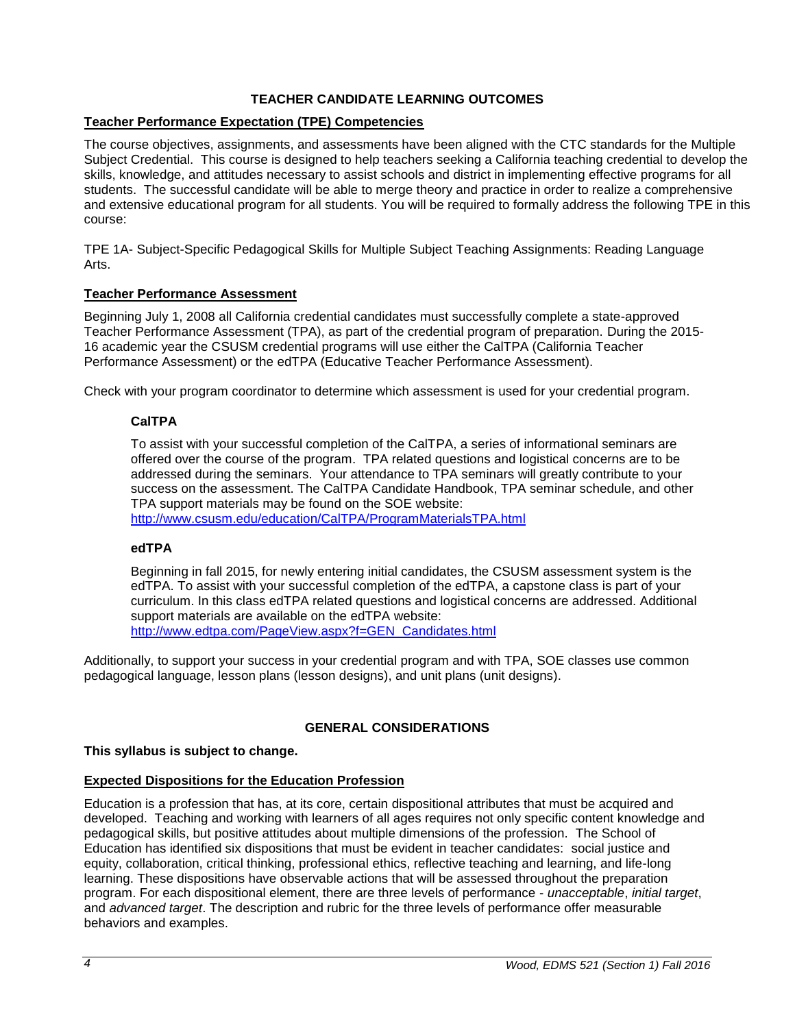## **TEACHER CANDIDATE LEARNING OUTCOMES**

### <span id="page-4-1"></span><span id="page-4-0"></span>**Teacher Performance Expectation (TPE) Competencies**

The course objectives, assignments, and assessments have been aligned with the CTC standards for the Multiple Subject Credential. This course is designed to help teachers seeking a California teaching credential to develop the skills, knowledge, and attitudes necessary to assist schools and district in implementing effective programs for all students. The successful candidate will be able to merge theory and practice in order to realize a comprehensive and extensive educational program for all students. You will be required to formally address the following TPE in this course:

TPE 1A- Subject-Specific Pedagogical Skills for Multiple Subject Teaching Assignments: Reading Language Arts.

### <span id="page-4-2"></span>**Teacher Performance Assessment**

Beginning July 1, 2008 all California credential candidates must successfully complete a state-approved Teacher Performance Assessment (TPA), as part of the credential program of preparation. During the 2015- 16 academic year the CSUSM credential programs will use either the CalTPA (California Teacher Performance Assessment) or the edTPA (Educative Teacher Performance Assessment).

<span id="page-4-3"></span>Check with your program coordinator to determine which assessment is used for your credential program.

### **CalTPA**

To assist with your successful completion of the CalTPA, a series of informational seminars are offered over the course of the program. TPA related questions and logistical concerns are to be addressed during the seminars. Your attendance to TPA seminars will greatly contribute to your success on the assessment. The CalTPA Candidate Handbook, TPA seminar schedule, and other TPA support materials may be found on the SOE website: <http://www.csusm.edu/education/CalTPA/ProgramMaterialsTPA.html>

### <span id="page-4-4"></span>**edTPA**

Beginning in fall 2015, for newly entering initial candidates, the CSUSM assessment system is the edTPA. To assist with your successful completion of the edTPA, a capstone class is part of your curriculum. In this class edTPA related questions and logistical concerns are addressed. Additional support materials are available on the edTPA website: [http://www.edtpa.com/PageView.aspx?f=GEN\\_Candidates.html](http://www.edtpa.com/PageView.aspx?f=GEN_Candidates.html)

Additionally, to support your success in your credential program and with TPA, SOE classes use common pedagogical language, lesson plans (lesson designs), and unit plans (unit designs).

### **GENERAL CONSIDERATIONS**

### <span id="page-4-5"></span>**This syllabus is subject to change.**

### <span id="page-4-6"></span>**Expected Dispositions for the Education Profession**

Education is a profession that has, at its core, certain dispositional attributes that must be acquired and developed. Teaching and working with learners of all ages requires not only specific content knowledge and pedagogical skills, but positive attitudes about multiple dimensions of the profession. The School of Education has identified six dispositions that must be evident in teacher candidates: social justice and equity, collaboration, critical thinking, professional ethics, reflective teaching and learning, and life-long learning. These dispositions have observable actions that will be assessed throughout the preparation program. For each dispositional element, there are three levels of performance - *unacceptable*, *initial target*, and *advanced target*. The description and rubric for the three levels of performance offer measurable behaviors and examples.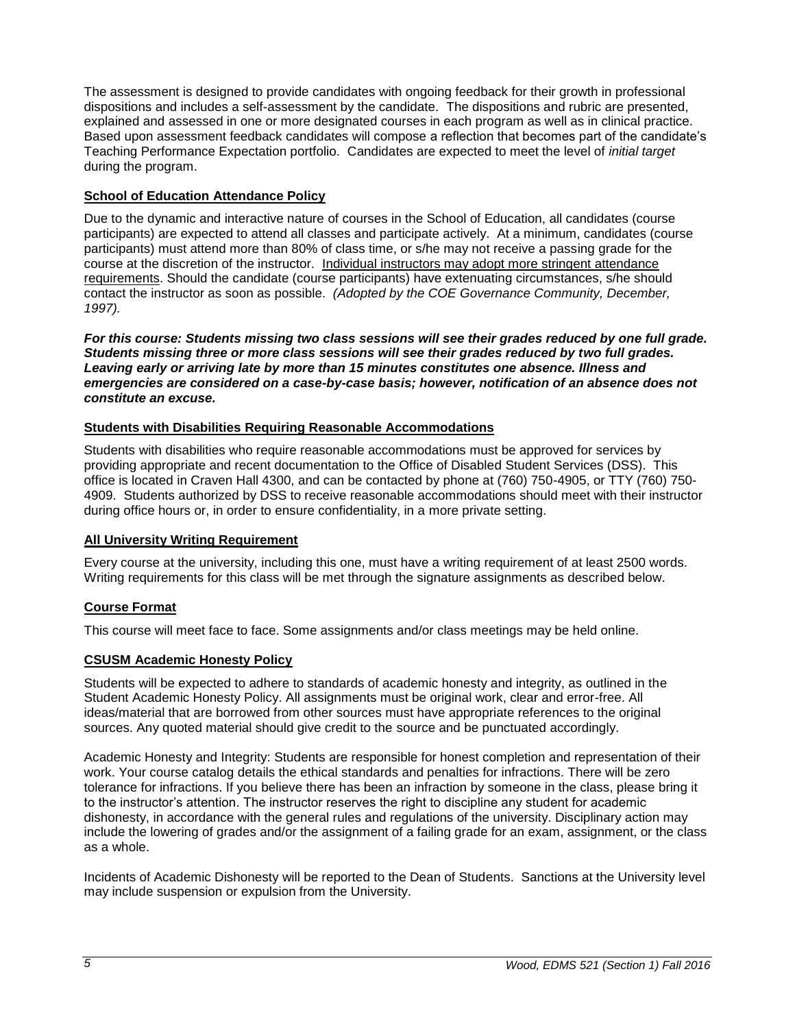The assessment is designed to provide candidates with ongoing feedback for their growth in professional dispositions and includes a self-assessment by the candidate. The dispositions and rubric are presented, explained and assessed in one or more designated courses in each program as well as in clinical practice. Based upon assessment feedback candidates will compose a reflection that becomes part of the candidate's Teaching Performance Expectation portfolio. Candidates are expected to meet the level of *initial target* during the program.

## <span id="page-5-0"></span>**School of Education Attendance Policy**

Due to the dynamic and interactive nature of courses in the School of Education, all candidates (course participants) are expected to attend all classes and participate actively. At a minimum, candidates (course participants) must attend more than 80% of class time, or s/he may not receive a passing grade for the course at the discretion of the instructor. Individual instructors may adopt more stringent attendance requirements. Should the candidate (course participants) have extenuating circumstances, s/he should contact the instructor as soon as possible. *(Adopted by the COE Governance Community, December, 1997).*

*For this course: Students missing two class sessions will see their grades reduced by one full grade. Students missing three or more class sessions will see their grades reduced by two full grades. Leaving early or arriving late by more than 15 minutes constitutes one absence. Illness and emergencies are considered on a case-by-case basis; however, notification of an absence does not constitute an excuse.* 

### <span id="page-5-1"></span>**Students with Disabilities Requiring Reasonable Accommodations**

Students with disabilities who require reasonable accommodations must be approved for services by providing appropriate and recent documentation to the Office of Disabled Student Services (DSS). This office is located in Craven Hall 4300, and can be contacted by phone at (760) 750-4905, or TTY (760) 750- 4909. Students authorized by DSS to receive reasonable accommodations should meet with their instructor during office hours or, in order to ensure confidentiality, in a more private setting.

### <span id="page-5-2"></span>**All University Writing Requirement**

Every course at the university, including this one, must have a writing requirement of at least 2500 words. Writing requirements for this class will be met through the signature assignments as described below.

### <span id="page-5-3"></span>**Course Format**

This course will meet face to face. Some assignments and/or class meetings may be held online.

### <span id="page-5-4"></span>**CSUSM Academic Honesty Policy**

Students will be expected to adhere to standards of academic honesty and integrity, as outlined in the Student Academic Honesty Policy. All assignments must be original work, clear and error-free. All ideas/material that are borrowed from other sources must have appropriate references to the original sources. Any quoted material should give credit to the source and be punctuated accordingly.

Academic Honesty and Integrity: Students are responsible for honest completion and representation of their work. Your course catalog details the ethical standards and penalties for infractions. There will be zero tolerance for infractions. If you believe there has been an infraction by someone in the class, please bring it to the instructor's attention. The instructor reserves the right to discipline any student for academic dishonesty, in accordance with the general rules and regulations of the university. Disciplinary action may include the lowering of grades and/or the assignment of a failing grade for an exam, assignment, or the class as a whole.

Incidents of Academic Dishonesty will be reported to the Dean of Students. Sanctions at the University level may include suspension or expulsion from the University.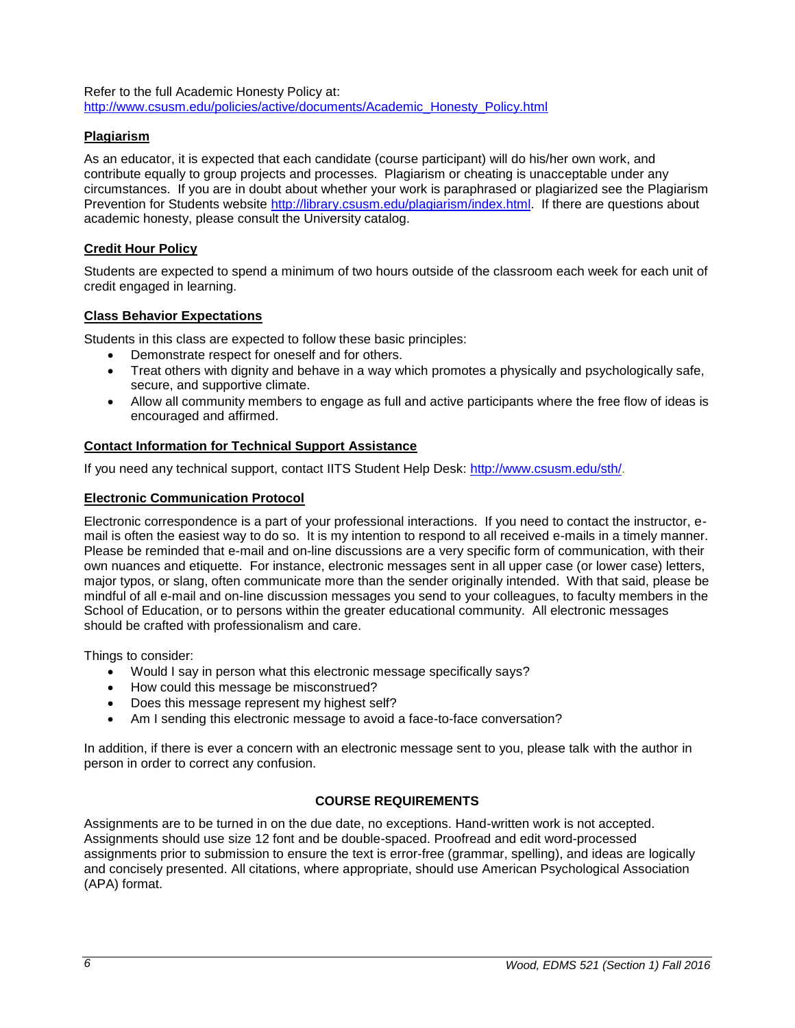Refer to the full Academic Honesty Policy at: [http://www.csusm.edu/policies/active/documents/Academic\\_Honesty\\_Policy.html](http://www.csusm.edu/policies/active/documents/Academic_Honesty_Policy.html)

### <span id="page-6-0"></span>**Plagiarism**

As an educator, it is expected that each candidate (course participant) will do his/her own work, and contribute equally to group projects and processes. Plagiarism or cheating is unacceptable under any circumstances. If you are in doubt about whether your work is paraphrased or plagiarized see the Plagiarism Prevention for Students website [http://library.csusm.edu/plagiarism/index.html.](http://library.csusm.edu/plagiarism/index.html) If there are questions about academic honesty, please consult the University catalog.

### <span id="page-6-1"></span>**Credit Hour Policy**

Students are expected to spend a minimum of two hours outside of the classroom each week for each unit of credit engaged in learning.

### <span id="page-6-2"></span>**Class Behavior Expectations**

Students in this class are expected to follow these basic principles:

- Demonstrate respect for oneself and for others.
- Treat others with dignity and behave in a way which promotes a physically and psychologically safe, secure, and supportive climate.
- Allow all community members to engage as full and active participants where the free flow of ideas is encouraged and affirmed.

### <span id="page-6-3"></span>**Contact Information for Technical Support Assistance**

If you need any technical support, contact IITS Student Help Desk: [http://www.csusm.edu/sth/.](http://www.csusm.edu/sth/)

### <span id="page-6-4"></span>**Electronic Communication Protocol**

Electronic correspondence is a part of your professional interactions. If you need to contact the instructor, email is often the easiest way to do so. It is my intention to respond to all received e-mails in a timely manner. Please be reminded that e-mail and on-line discussions are a very specific form of communication, with their own nuances and etiquette. For instance, electronic messages sent in all upper case (or lower case) letters, major typos, or slang, often communicate more than the sender originally intended. With that said, please be mindful of all e-mail and on-line discussion messages you send to your colleagues, to faculty members in the School of Education, or to persons within the greater educational community. All electronic messages should be crafted with professionalism and care.

Things to consider:

- Would I say in person what this electronic message specifically says?
- How could this message be misconstrued?
- Does this message represent my highest self?
- Am I sending this electronic message to avoid a face-to-face conversation?

In addition, if there is ever a concern with an electronic message sent to you, please talk with the author in person in order to correct any confusion.

### **COURSE REQUIREMENTS**

<span id="page-6-5"></span>Assignments are to be turned in on the due date, no exceptions. Hand-written work is not accepted. Assignments should use size 12 font and be double-spaced. Proofread and edit word-processed assignments prior to submission to ensure the text is error-free (grammar, spelling), and ideas are logically and concisely presented. All citations, where appropriate, should use American Psychological Association (APA) format.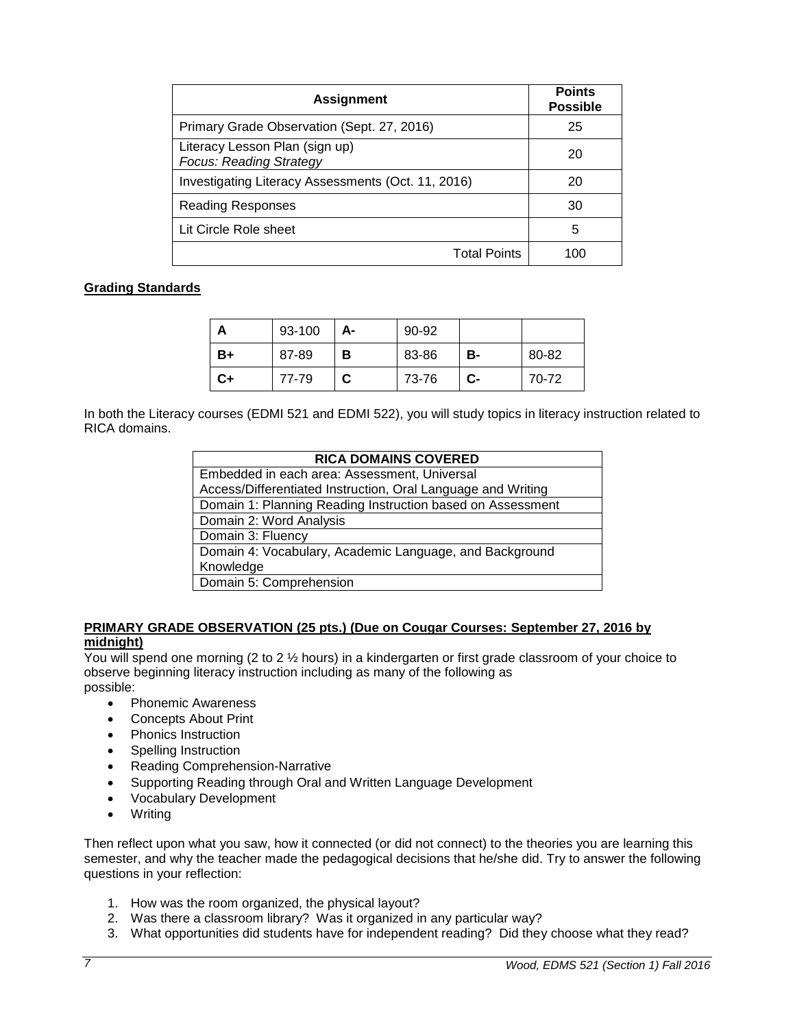| <b>Assignment</b>                                                | <b>Points</b><br><b>Possible</b> |
|------------------------------------------------------------------|----------------------------------|
| Primary Grade Observation (Sept. 27, 2016)                       | 25                               |
| Literacy Lesson Plan (sign up)<br><b>Focus: Reading Strategy</b> | 20                               |
| Investigating Literacy Assessments (Oct. 11, 2016)               | 20                               |
| Reading Responses                                                | 30                               |
| Lit Circle Role sheet                                            | 5                                |
| <b>Total Points</b>                                              | 100                              |

### <span id="page-7-0"></span>**Grading Standards**

|    | 93-100 | А- | 90-92 |    |       |
|----|--------|----|-------|----|-------|
| B+ | 87-89  | в  | 83-86 | в- | 80-82 |
| C+ | 77-79  |    | 73-76 | C- | 70-72 |

In both the Literacy courses (EDMI 521 and EDMI 522), you will study topics in literacy instruction related to RICA domains.

| <b>RICA DOMAINS COVERED</b>                                  |  |  |
|--------------------------------------------------------------|--|--|
| Embedded in each area: Assessment, Universal                 |  |  |
| Access/Differentiated Instruction, Oral Language and Writing |  |  |
| Domain 1: Planning Reading Instruction based on Assessment   |  |  |
| Domain 2: Word Analysis                                      |  |  |
| Domain 3: Fluency                                            |  |  |
| Domain 4: Vocabulary, Academic Language, and Background      |  |  |
| Knowledge                                                    |  |  |
| Domain 5: Comprehension                                      |  |  |

### **PRIMARY GRADE OBSERVATION (25 pts.) (Due on Cougar Courses: September 27, 2016 by midnight)**

You will spend one morning (2 to 2 ½ hours) in a kindergarten or first grade classroom of your choice to observe beginning literacy instruction including as many of the following as possible:

- Phonemic Awareness
- Concepts About Print
- Phonics Instruction
- Spelling Instruction
- Reading Comprehension-Narrative
- Supporting Reading through Oral and Written Language Development
- Vocabulary Development
- Writing

Then reflect upon what you saw, how it connected (or did not connect) to the theories you are learning this semester, and why the teacher made the pedagogical decisions that he/she did. Try to answer the following questions in your reflection:

- 1. How was the room organized, the physical layout?
- 2. Was there a classroom library? Was it organized in any particular way?
- 3. What opportunities did students have for independent reading? Did they choose what they read?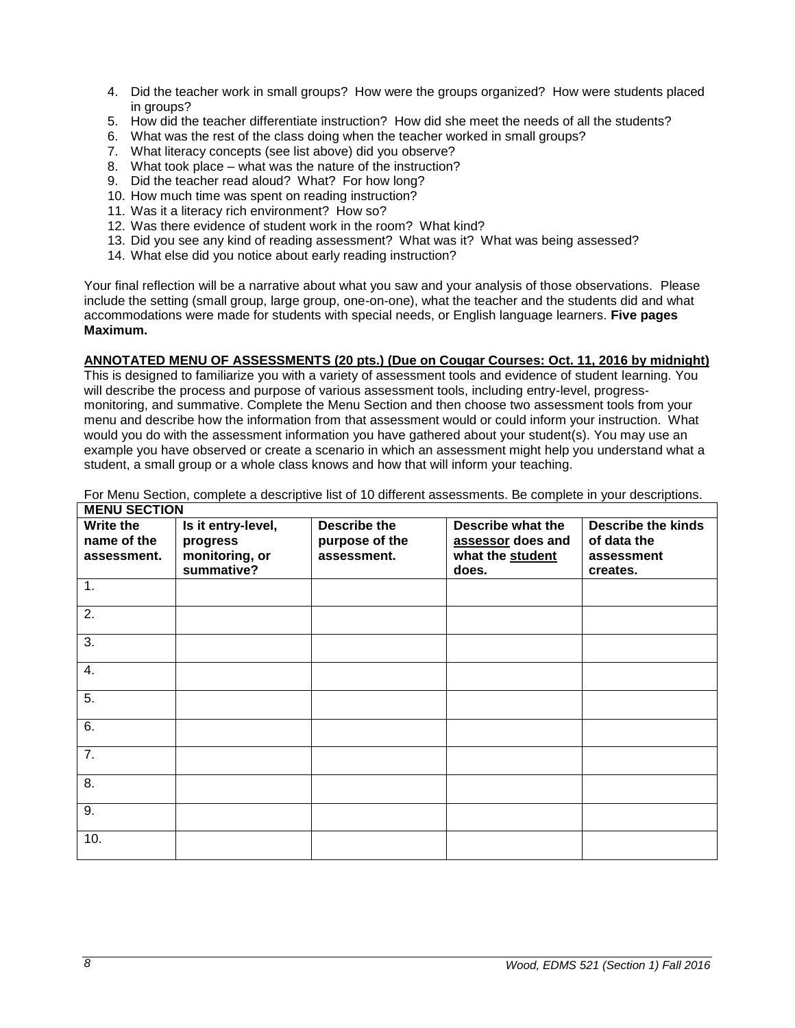- 4. Did the teacher work in small groups? How were the groups organized? How were students placed in groups?
- 5. How did the teacher differentiate instruction? How did she meet the needs of all the students?
- 6. What was the rest of the class doing when the teacher worked in small groups?
- 7. What literacy concepts (see list above) did you observe?
- 8. What took place what was the nature of the instruction?
- 9. Did the teacher read aloud? What? For how long?
- 10. How much time was spent on reading instruction?
- 11. Was it a literacy rich environment? How so?
- 12. Was there evidence of student work in the room? What kind?
- 13. Did you see any kind of reading assessment? What was it? What was being assessed?
- 14. What else did you notice about early reading instruction?

Your final reflection will be a narrative about what you saw and your analysis of those observations. Please include the setting (small group, large group, one-on-one), what the teacher and the students did and what accommodations were made for students with special needs, or English language learners. **Five pages Maximum.**

#### **ANNOTATED MENU OF ASSESSMENTS (20 pts.) (Due on Cougar Courses: Oct. 11, 2016 by midnight)**

This is designed to familiarize you with a variety of assessment tools and evidence of student learning. You will describe the process and purpose of various assessment tools, including entry-level, progressmonitoring, and summative. Complete the Menu Section and then choose two assessment tools from your menu and describe how the information from that assessment would or could inform your instruction. What would you do with the assessment information you have gathered about your student(s). You may use an example you have observed or create a scenario in which an assessment might help you understand what a student, a small group or a whole class knows and how that will inform your teaching.

| <b>MENU SECTION</b> |                    |                     |                   |                    |
|---------------------|--------------------|---------------------|-------------------|--------------------|
| Write the           | Is it entry-level, | <b>Describe the</b> | Describe what the | Describe the kinds |
| name of the         | progress           | purpose of the      | assessor does and | of data the        |
| assessment.         | monitoring, or     | assessment.         | what the student  | assessment         |
|                     | summative?         |                     | does.             | creates.           |
| 1.                  |                    |                     |                   |                    |
| 2.                  |                    |                     |                   |                    |
| 3.                  |                    |                     |                   |                    |
| 4.                  |                    |                     |                   |                    |
| 5.                  |                    |                     |                   |                    |
| 6.                  |                    |                     |                   |                    |
| 7.                  |                    |                     |                   |                    |
| 8.                  |                    |                     |                   |                    |
| 9.                  |                    |                     |                   |                    |
| 10.                 |                    |                     |                   |                    |

For Menu Section, complete a descriptive list of 10 different assessments. Be complete in your descriptions. **MENU SECTION**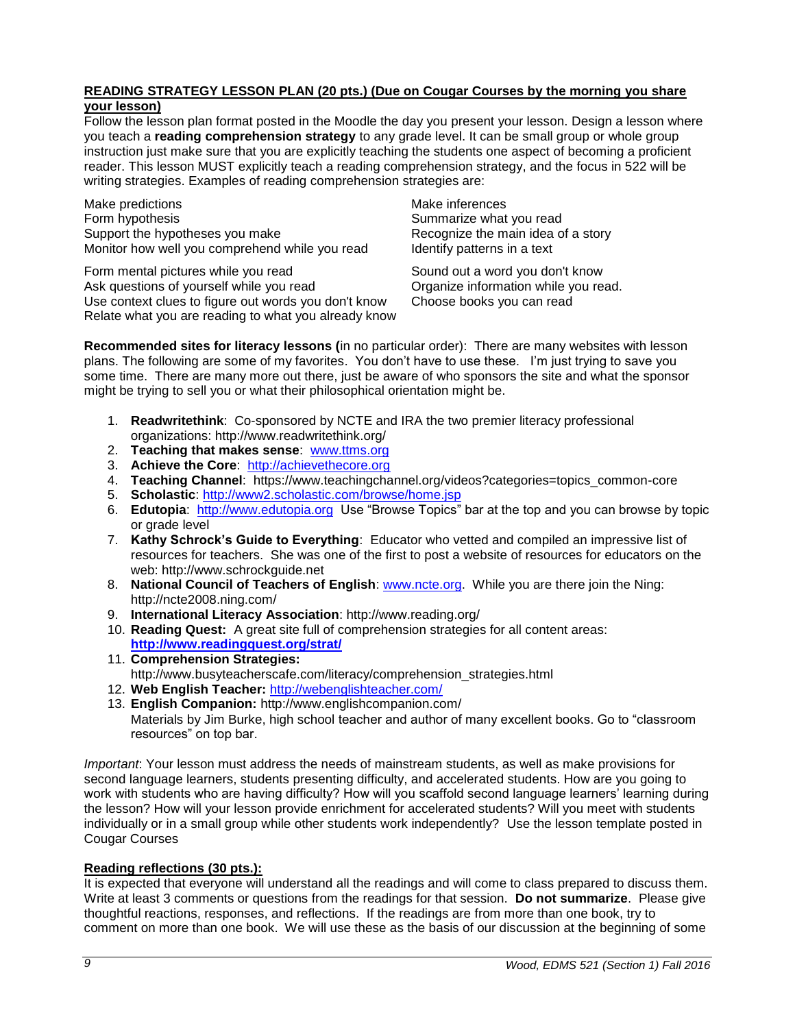### **READING STRATEGY LESSON PLAN (20 pts.) (Due on Cougar Courses by the morning you share your lesson)**

Follow the lesson plan format posted in the Moodle the day you present your lesson. Design a lesson where you teach a **reading comprehension strategy** to any grade level. It can be small group or whole group instruction just make sure that you are explicitly teaching the students one aspect of becoming a proficient reader. This lesson MUST explicitly teach a reading comprehension strategy, and the focus in 522 will be writing strategies. Examples of reading comprehension strategies are:

Make predictions and the matter of the Make inferences Form hypothesis **Summarize what you read** Summarize what you read Support the hypotheses you make Recognize the main idea of a story Monitor how well you comprehend while you read Identify patterns in a text

Form mental pictures while you read Sound out a word you don't know Ask questions of yourself while you read **Organize information while you read.** Use context clues to figure out words you don't know Choose books you can read Relate what you are reading to what you already know

**Recommended sites for literacy lessons (**in no particular order): There are many websites with lesson plans. The following are some of my favorites. You don't have to use these. I'm just trying to save you some time. There are many more out there, just be aware of who sponsors the site and what the sponsor might be trying to sell you or what their philosophical orientation might be.

- 1. **Readwritethink**: Co-sponsored by NCTE and IRA the two premier literacy professional organizations: http://www.readwritethink.org/
- 2. **Teaching that makes sense**: [www.ttms.org](http://www.ttms.org/)
- 3. **Achieve the Core**: [http://achievethecore.org](http://achievethecore.org/)
- 4. **Teaching Channel**: https://www.teachingchannel.org/videos?categories=topics\_common-core
- 5. **Scholastic**:<http://www2.scholastic.com/browse/home.jsp>
- 6. **Edutopia**: [http://www.edutopia.org](http://www.edutopia.org/) Use "Browse Topics" bar at the top and you can browse by topic or grade level
- 7. **Kathy Schrock's Guide to Everything**: Educator who vetted and compiled an impressive list of resources for teachers. She was one of the first to post a website of resources for educators on the web: http://www.schrockguide.net
- 8. **National Council of Teachers of English**: [www.ncte.org.](http://www.ncte.org/) While you are there join the Ning: http://ncte2008.ning.com/
- 9. **International Literacy Association**: http://www.reading.org/
- 10. **Reading Quest:** A great site full of comprehension strategies for all content areas: **<http://www.readingquest.org/strat/>**
- 11. **Comprehension Strategies:** http://www.busyteacherscafe.com/literacy/comprehension\_strategies.html
- 12. **Web English Teacher:** <http://webenglishteacher.com/>
- 13. **English Companion:** http://www.englishcompanion.com/ Materials by Jim Burke, high school teacher and author of many excellent books. Go to "classroom resources" on top bar.

*Important*: Your lesson must address the needs of mainstream students, as well as make provisions for second language learners, students presenting difficulty, and accelerated students. How are you going to work with students who are having difficulty? How will you scaffold second language learners' learning during the lesson? How will your lesson provide enrichment for accelerated students? Will you meet with students individually or in a small group while other students work independently? Use the lesson template posted in Cougar Courses

### **Reading reflections (30 pts.):**

It is expected that everyone will understand all the readings and will come to class prepared to discuss them. Write at least 3 comments or questions from the readings for that session. **Do not summarize**. Please give thoughtful reactions, responses, and reflections. If the readings are from more than one book, try to comment on more than one book. We will use these as the basis of our discussion at the beginning of some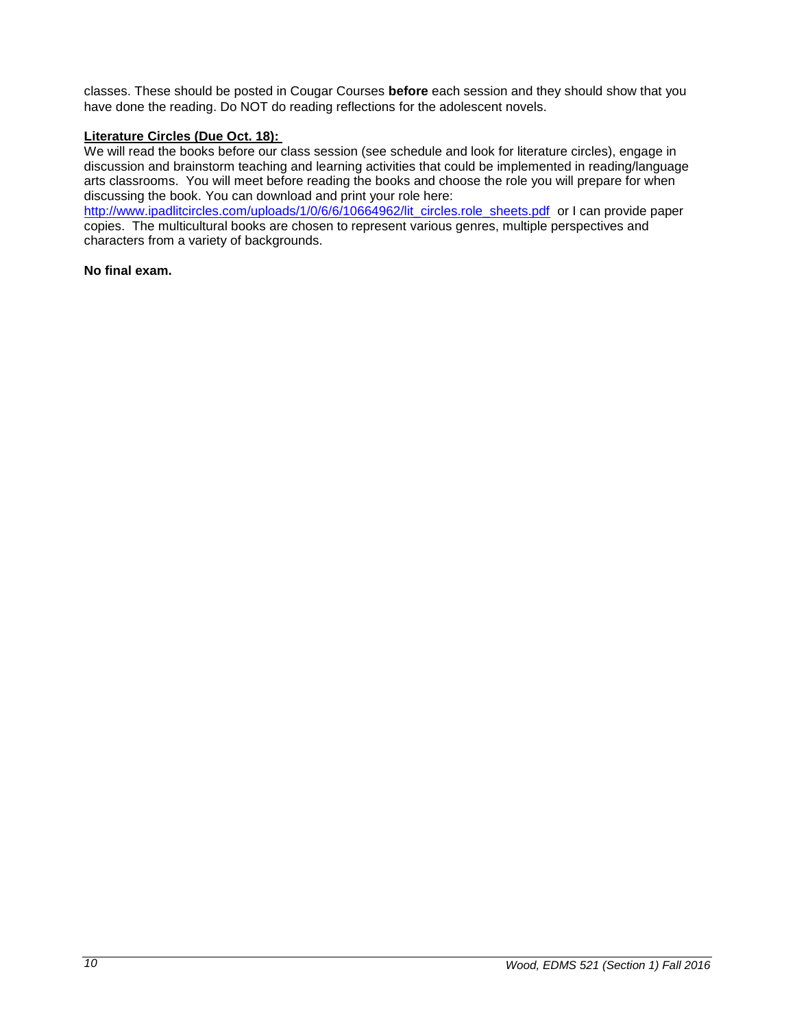classes. These should be posted in Cougar Courses **before** each session and they should show that you have done the reading. Do NOT do reading reflections for the adolescent novels.

### **Literature Circles (Due Oct. 18):**

We will read the books before our class session (see schedule and look for literature circles), engage in discussion and brainstorm teaching and learning activities that could be implemented in reading/language arts classrooms. You will meet before reading the books and choose the role you will prepare for when discussing the book. You can download and print your role here:

[http://www.ipadlitcircles.com/uploads/1/0/6/6/10664962/lit\\_circles.role\\_sheets.pdf](http://www.ipadlitcircles.com/uploads/1/0/6/6/10664962/lit_circles.role_sheets.pdf) or I can provide paper copies. The multicultural books are chosen to represent various genres, multiple perspectives and characters from a variety of backgrounds.

#### **No final exam.**